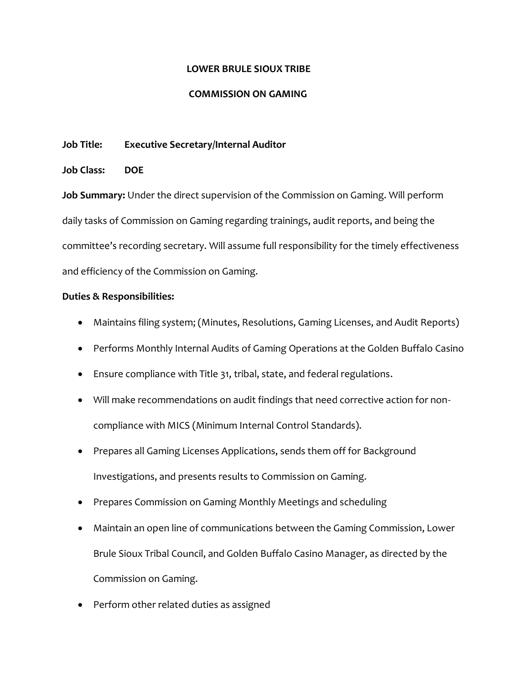## **LOWER BRULE SIOUX TRIBE**

#### **COMMISSION ON GAMING**

## **Job Title: Executive Secretary/Internal Auditor**

## **Job Class: DOE**

**Job Summary:** Under the direct supervision of the Commission on Gaming. Will perform daily tasks of Commission on Gaming regarding trainings, audit reports, and being the committee's recording secretary. Will assume full responsibility for the timely effectiveness and efficiency of the Commission on Gaming.

# **Duties & Responsibilities:**

- Maintains filing system; (Minutes, Resolutions, Gaming Licenses, and Audit Reports)
- Performs Monthly Internal Audits of Gaming Operations at the Golden Buffalo Casino
- Ensure compliance with Title 31, tribal, state, and federal regulations.
- Will make recommendations on audit findings that need corrective action for noncompliance with MICS (Minimum Internal Control Standards).
- Prepares all Gaming Licenses Applications, sends them off for Background Investigations, and presents results to Commission on Gaming.
- Prepares Commission on Gaming Monthly Meetings and scheduling
- Maintain an open line of communications between the Gaming Commission, Lower Brule Sioux Tribal Council, and Golden Buffalo Casino Manager, as directed by the Commission on Gaming.
- Perform other related duties as assigned